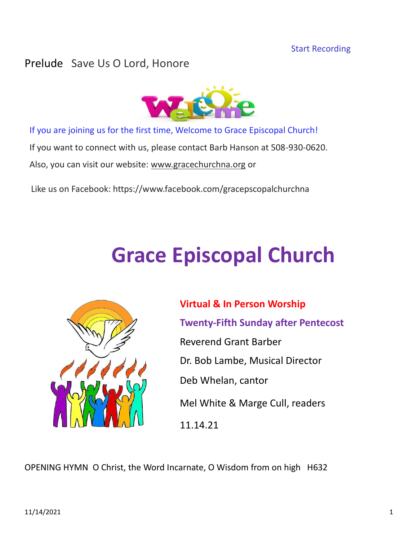# Prelude Save Us O Lord, Honore



If you are joining us for the first time, Welcome to Grace Episcopal Church!

If you want to connect with us, please contact Barb Hanson at 508-930-0620.

Also, you can visit our website: [www.gracechurchna.org](http://www.gracechurchna.org/) or

Like us on Facebook: https://www.facebook.com/gracepscopalchurchna

# **Grace Episcopal Church**



**Virtual & In Person Worship Twenty-Fifth Sunday after Pentecost** Reverend Grant Barber Dr. Bob Lambe, Musical Director Deb Whelan, cantor Mel White & Marge Cull, readers 11.14.21

OPENING HYMN O Christ, the Word Incarnate, O Wisdom from on high H632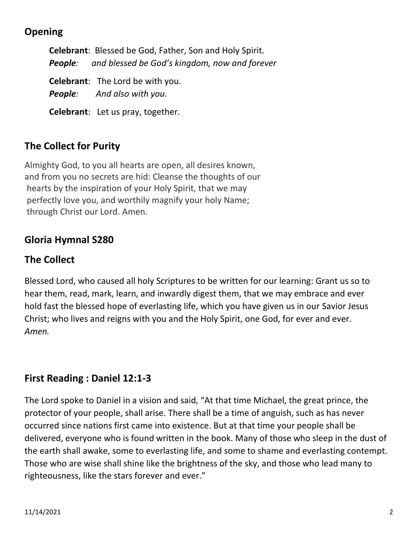# **Opening**

**Celebrant**: Blessed be God, Father, Son and Holy Spirit. *People: and blessed be God's kingdom, now and forever* **Celebrant**: The Lord be with you. *People: And also with you.* **Celebrant**: Let us pray, together.

# **The Collect for Purity**

Almighty God, to you all hearts are open, all desires known, and from you no secrets are hid: Cleanse the thoughts of our hearts by the inspiration of your Holy Spirit, that we may perfectly love you, and worthily magnify your holy Name; through Christ our Lord. Amen.

# **Gloria Hymnal S280**

# **The Collect**

Blessed Lord, who caused all holy Scriptures to be written for our learning: Grant us so to hear them, read, mark, learn, and inwardly digest them, that we may embrace and ever hold fast the blessed hope of everlasting life, which you have given us in our Savior Jesus Christ; who lives and reigns with you and the Holy Spirit, one God, for ever and ever. *Amen.*

# **First Reading : Daniel 12:1-3**

The Lord spoke to Daniel in a vision and said, "At that time Michael, the great prince, the protector of your people, shall arise. There shall be a time of anguish, such as has never occurred since nations first came into existence. But at that time your people shall be delivered, everyone who is found written in the book. Many of those who sleep in the dust of the earth shall awake, some to everlasting life, and some to shame and everlasting contempt. Those who are wise shall shine like the brightness of the sky, and those who lead many to righteousness, like the stars forever and ever."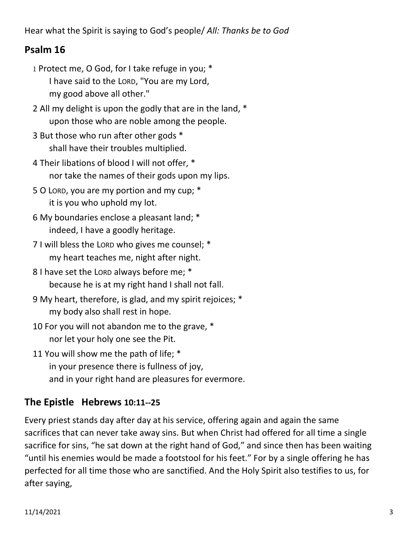Hear what the Spirit is saying to God's people/ *All: Thanks be to God*

# **Psalm 16**

- 1 Protect me, O God, for I take refuge in you; \* I have said to the LORD, "You are my Lord, my good above all other."
- 2 All my delight is upon the godly that are in the land, \* upon those who are noble among the people.
- 3 But those who run after other gods \* shall have their troubles multiplied.
- 4 Their libations of blood I will not offer, \* nor take the names of their gods upon my lips.
- 5 O LORD, you are my portion and my cup; \* it is you who uphold my lot.
- 6 My boundaries enclose a pleasant land; \* indeed, I have a goodly heritage.
- 7 I will bless the LORD who gives me counsel; \* my heart teaches me, night after night.
- 8 I have set the LORD always before me; \* because he is at my right hand I shall not fall.
- 9 My heart, therefore, is glad, and my spirit rejoices; \* my body also shall rest in hope.
- 10 For you will not abandon me to the grave, \* nor let your holy one see the Pit.
- 11 You will show me the path of life; \* in your presence there is fullness of joy, and in your right hand are pleasures for evermore.

# **The Epistle Hebrews 10:11--25**

Every priest stands day after day at his service, offering again and again the same sacrifices that can never take away sins. But when Christ had offered for all time a single sacrifice for sins, "he sat down at the right hand of God," and since then has been waiting "until his enemies would be made a footstool for his feet." For by a single offering he has perfected for all time those who are sanctified. And the Holy Spirit also testifies to us, for after saying,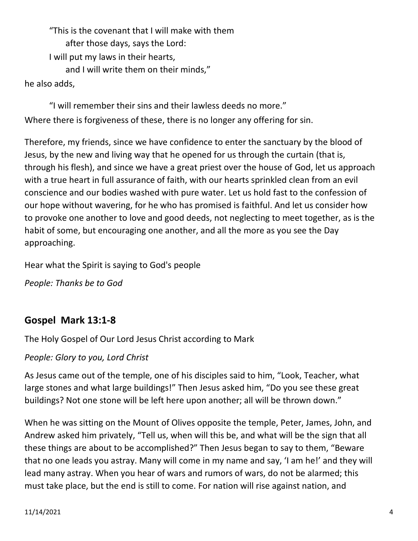"This is the covenant that I will make with them after those days, says the Lord: I will put my laws in their hearts, and I will write them on their minds," he also adds,

"I will remember their sins and their lawless deeds no more." Where there is forgiveness of these, there is no longer any offering for sin.

Therefore, my friends, since we have confidence to enter the sanctuary by the blood of Jesus, by the new and living way that he opened for us through the curtain (that is, through his flesh), and since we have a great priest over the house of God, let us approach with a true heart in full assurance of faith, with our hearts sprinkled clean from an evil conscience and our bodies washed with pure water. Let us hold fast to the confession of our hope without wavering, for he who has promised is faithful. And let us consider how to provoke one another to love and good deeds, not neglecting to meet together, as is the habit of some, but encouraging one another, and all the more as you see the Day approaching.

Hear what the Spirit is saying to God's people

*People: Thanks be to God*

# **Gospel Mark 13:1-8**

The Holy Gospel of Our Lord Jesus Christ according to Mark

*People: Glory to you, Lord Christ*

As Jesus came out of the temple, one of his disciples said to him, "Look, Teacher, what large stones and what large buildings!" Then Jesus asked him, "Do you see these great buildings? Not one stone will be left here upon another; all will be thrown down."

When he was sitting on the Mount of Olives opposite the temple, Peter, James, John, and Andrew asked him privately, "Tell us, when will this be, and what will be the sign that all these things are about to be accomplished?" Then Jesus began to say to them, "Beware that no one leads you astray. Many will come in my name and say, 'I am he!' and they will lead many astray. When you hear of wars and rumors of wars, do not be alarmed; this must take place, but the end is still to come. For nation will rise against nation, and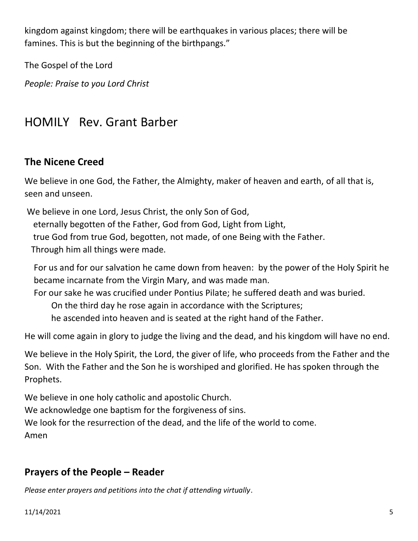kingdom against kingdom; there will be earthquakes in various places; there will be famines. This is but the beginning of the birthpangs."

The Gospel of the Lord

*People: Praise to you Lord Christ*

# HOMILY Rev. Grant Barber

# **The Nicene Creed**

We believe in one God, the Father, the Almighty, maker of heaven and earth, of all that is, seen and unseen.

We believe in one Lord, Jesus Christ, the only Son of God, eternally begotten of the Father, God from God, Light from Light, true God from true God, begotten, not made, of one Being with the Father. Through him all things were made.

For us and for our salvation he came down from heaven: by the power of the Holy Spirit he became incarnate from the Virgin Mary, and was made man.

For our sake he was crucified under Pontius Pilate; he suffered death and was buried. On the third day he rose again in accordance with the Scriptures;

he ascended into heaven and is seated at the right hand of the Father.

He will come again in glory to judge the living and the dead, and his kingdom will have no end.

We believe in the Holy Spirit, the Lord, the giver of life, who proceeds from the Father and the Son. With the Father and the Son he is worshiped and glorified. He has spoken through the Prophets.

We believe in one holy catholic and apostolic Church.

We acknowledge one baptism for the forgiveness of sins.

We look for the resurrection of the dead, and the life of the world to come.

Amen

# **Prayers of the People – Reader**

*Please enter prayers and petitions into the chat if attending virtually*.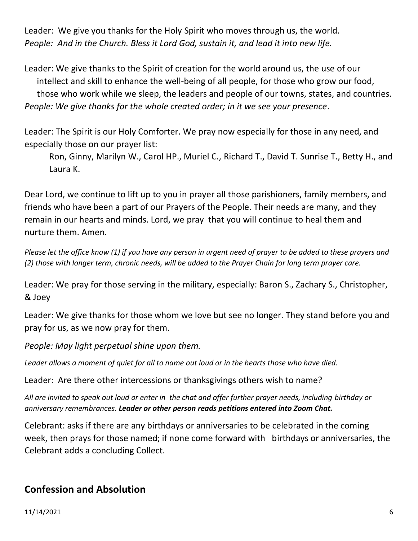Leader: We give you thanks for the Holy Spirit who moves through us, the world. *People: And in the Church. Bless it Lord God, sustain it, and lead it into new life.*

Leader: We give thanks to the Spirit of creation for the world around us, the use of our intellect and skill to enhance the well-being of all people, for those who grow our food, those who work while we sleep, the leaders and people of our towns, states, and countries. *People: We give thanks for the whole created order; in it we see your presence*.

Leader: The Spirit is our Holy Comforter. We pray now especially for those in any need, and especially those on our prayer list:

Ron, Ginny, Marilyn W., Carol HP., Muriel C., Richard T., David T. Sunrise T., Betty H., and Laura K.

Dear Lord, we continue to lift up to you in prayer all those parishioners, family members, and friends who have been a part of our Prayers of the People. Their needs are many, and they remain in our hearts and minds. Lord, we pray that you will continue to heal them and nurture them. Amen.

*Please let the office know (1) if you have any person in urgent need of prayer to be added to these prayers and (2) those with longer term, chronic needs, will be added to the Prayer Chain for long term prayer care.*

Leader: We pray for those serving in the military, especially: Baron S., Zachary S., Christopher, & Joey

Leader: We give thanks for those whom we love but see no longer. They stand before you and pray for us, as we now pray for them.

*People: May light perpetual shine upon them.*

*Leader allows a moment of quiet for all to name out loud or in the hearts those who have died.*

Leader: Are there other intercessions or thanksgivings others wish to name?

*All are invited to speak out loud or enter in the chat and offer further prayer needs, including birthday or anniversary remembrances. Leader or other person reads petitions entered into Zoom Chat.*

Celebrant: asks if there are any birthdays or anniversaries to be celebrated in the coming week, then prays for those named; if none come forward with birthdays or anniversaries, the Celebrant adds a concluding Collect.

# **Confession and Absolution**

11/14/2021 6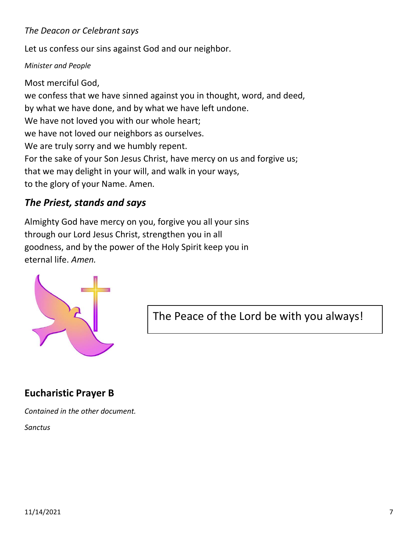#### *The Deacon or Celebrant says*

Let us confess our sins against God and our neighbor.

#### *Minister and People*

Most merciful God, we confess that we have sinned against you in thought, word, and deed, by what we have done, and by what we have left undone. We have not loved you with our whole heart; we have not loved our neighbors as ourselves. We are truly sorry and we humbly repent. For the sake of your Son Jesus Christ, have mercy on us and forgive us; that we may delight in your will, and walk in your ways, to the glory of your Name. Amen.

# *The Priest, stands and says*

Almighty God have mercy on you, forgive you all your sins through our Lord Jesus Christ, strengthen you in all goodness, and by the power of the Holy Spirit keep you in eternal life. *Amen.*



The Peace of the Lord be with you always!

# **Eucharistic Prayer B**

*Contained in the other document.*

*Sanctus*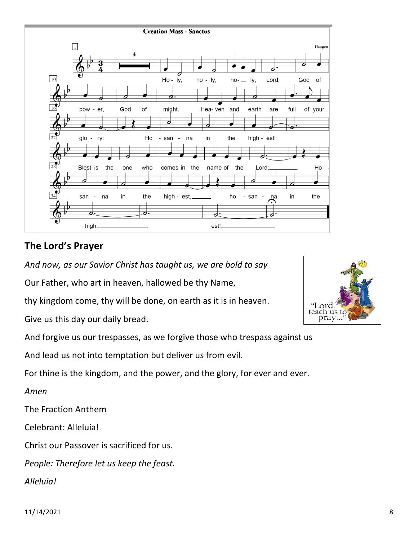

# **The Lord's Prayer**

*And now, as our Savior Christ has taught us, we are bold to say*

Our Father, who art in heaven, hallowed be thy Name,

thy kingdom come, thy will be done, on earth as it is in heaven.

Give us this day our daily bread.

And forgive us our trespasses, as we forgive those who trespass against us

And lead us not into temptation but deliver us from evil.

For thine is the kingdom, and the power, and the glory, for ever and ever.

*Amen*

The Fraction Anthem

Celebrant: Alleluia!

Christ our Passover is sacrificed for us.

*People: Therefore let us keep the feast. Alleluia!* 

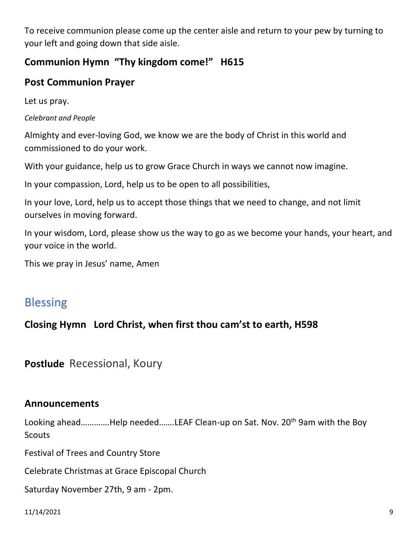To receive communion please come up the center aisle and return to your pew by turning to your left and going down that side aisle.

# **Communion Hymn "Thy kingdom come!" H615**

# **Post Communion Prayer**

Let us pray.

#### *Celebrant and People*

Almighty and ever-loving God, we know we are the body of Christ in this world and commissioned to do your work.

With your guidance, help us to grow Grace Church in ways we cannot now imagine.

In your compassion, Lord, help us to be open to all possibilities,

In your love, Lord, help us to accept those things that we need to change, and not limit ourselves in moving forward.

In your wisdom, Lord, please show us the way to go as we become your hands, your heart, and your voice in the world.

This we pray in Jesus' name, Amen

# Blessing

# **Closing Hymn Lord Christ, when first thou cam'st to earth, H598**

**Postlude** Recessional, Koury

#### **Announcements**

Looking ahead.............Help needed.......LEAF Clean-up on Sat. Nov. 20<sup>th</sup> 9am with the Boy **Scouts** 

Festival of Trees and Country Store

Celebrate Christmas at Grace Episcopal Church

Saturday November 27th, 9 am - 2pm.